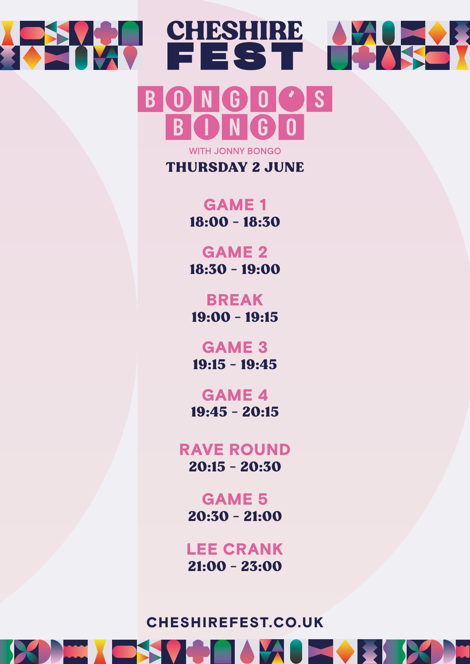



**THURSDAY 2 JUNE** 

GAME 1 18:00 - 18:30

GAME 2 18:30 - 19:00

BREAK 19:00 - 19:15

GAME 3 19:15 - 19:45

GAME 4 19:45 - 20:15

RAVE ROUND 20:15 - 20:30

GAME 5 20:30 - 21:00

LEE CRANK 21:00 - 23:00

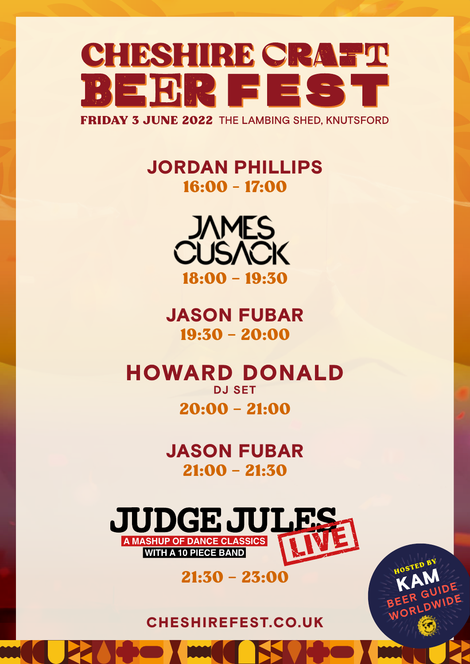

## JORDAN PHILLIPS 16:00 - 17:00



JASON FUBAR 19:30 – 20:00

**HOWARD DONALD DJ SET** 20:00 – 21:00

> JASON FUBAR 21:00 – 21:30

**UDGE JULE: A MASHUP OF DANCE CLASSICS**<br>WITH A 10 PIECE BAND

#### 21:30 – 23:00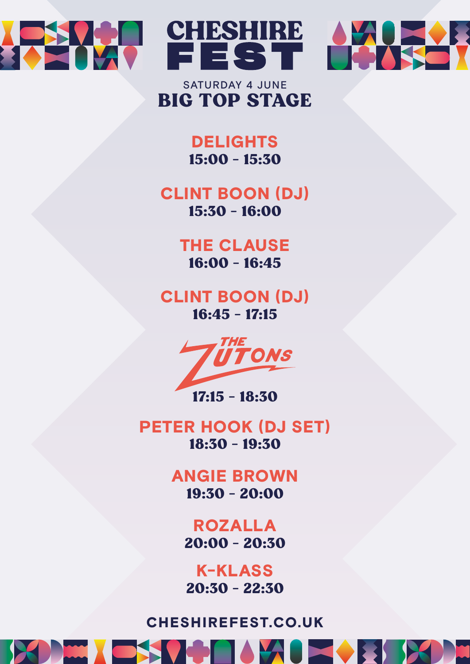



#### BIG TOP STAGE SATURDAY 4 JUNE

CHESHIRE

FEST

**DELIGHTS** 15:00 - 15:30

# CLINT BOON (DJ)

15:30 - 16:00

#### THE CLAUSE 16:00 - 16:45

#### CLINT BOON (DJ) 16:45 - 17:15



17:15 - 18:30

PETER HOOK (DJ SET) 18:30 - 19:30

> ANGIE BROWN 19:30 - 20:00

> > ROZALLA 20:00 - 20:30

K-KLASS 20:30 - 22:30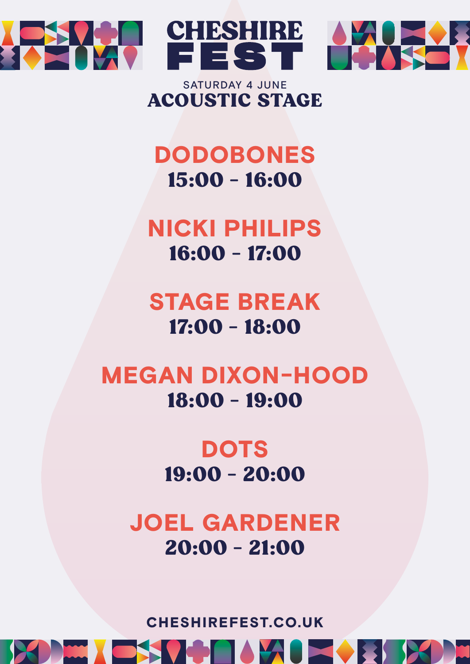



#### ACOUSTIC STAGE SATURDAY 4 JUNE

FEST

# DODOBONES 15:00 - 16:00

NICKI PHILIPS 16:00 - 17:00

STAGE BREAK 17:00 - 18:00

## MEGAN DIXON-HOOD 18:00 - 19:00

**DOTS** 19:00 - 20:00

JOEL GARDENER 20:00 - 21:00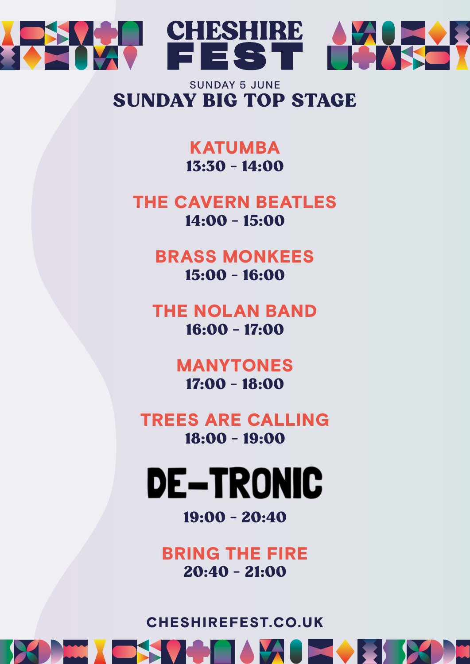

#### SUNDAY BIG TOP STAGE SUNDAY 5 JUNE

#### KATUMBA 13:30 - 14:00

## THE CAVERN BEATLES

14:00 - 15:00

#### BRASS MONKEES 15:00 - 16:00

#### THE NOLAN BAND 16:00 - 17:00

#### MANYTONES 17:00 - 18:00

### TREES ARE CALLING 18:00 - 19:00

# **DE-TRONIC**

#### 19:00 - 20:40

## BRING THE FIRE 20:40 - 21:00